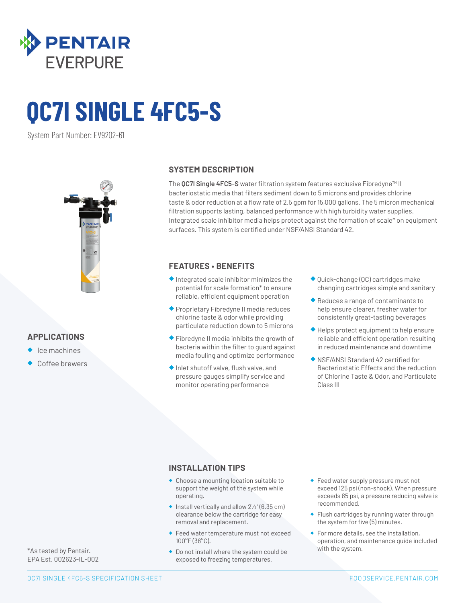

# **QC7I SINGLE 4FC5-S**

System Part Number: EV9202-61



#### **APPLICATIONS**

- ◆ Ice machines
- Coffee brewers

#### **SYSTEM DESCRIPTION**

The **QC7I Single 4FC5-S** water filtration system features exclusive Fibredyne™ II bacteriostatic media that filters sediment down to 5 microns and provides chlorine taste & odor reduction at a flow rate of 2.5 gpm for 15,000 gallons. The 5 micron mechanical filtration supports lasting, balanced performance with high turbidity water supplies. Integrated scale inhibitor media helps protect against the formation of scale\* on equipment surfaces. This system is certified under NSF/ANSI Standard 42.

#### **FEATURES • BENEFITS**

- ◆ Integrated scale inhibitor minimizes the potential for scale formation\* to ensure reliable, efficient equipment operation
- ◆ Proprietary Fibredyne II media reduces chlorine taste & odor while providing particulate reduction down to 5 microns
- ◆ Fibredyne II media inhibits the growth of bacteria within the filter to guard against media fouling and optimize performance
- ◆ Inlet shutoff valve, flush valve, and pressure gauges simplify service and monitor operating performance
- ◆ Quick-change (QC) cartridges make changing cartridges simple and sanitary
- ◆ Reduces a range of contaminants to help ensure clearer, fresher water for consistently great-tasting beverages
- ◆ Helps protect equipment to help ensure reliable and efficient operation resulting in reduced maintenance and downtime
- ◆ NSF/ANSI Standard 42 certified for Bacteriostatic Effects and the reduction of Chlorine Taste & Odor, and Particulate Class III

#### **INSTALLATION TIPS**

- ◆ Choose a mounting location suitable to support the weight of the system while operating.
- $\bullet$  Install vertically and allow  $2\frac{1}{2}$ " (6.35 cm) clearance below the cartridge for easy removal and replacement.
- ◆ Feed water temperature must not exceed 100°F (38°C).
- ◆ Do not install where the system could be exposed to freezing temperatures.
- ◆ Feed water supply pressure must not exceed 125 psi (non-shock). When pressure exceeds 85 psi, a pressure reducing valve is recommended.
- ◆ Flush cartridges by running water through the system for five (5) minutes.
- ◆ For more details, see the installation, operation, and maintenance guide included with the system.

\*As tested by Pentair. EPA Est. 002623-IL-002